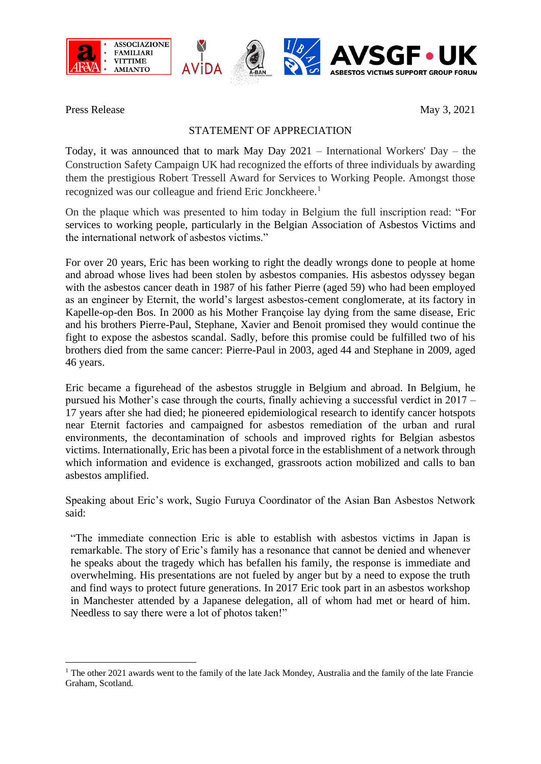





Press Release May 3, 2021

**ASBESTOS VICTIMS SUPPORT GROUP FORUM** 

## STATEMENT OF APPRECIATION

Today, it was announced that to mark May Day 2021 – International Workers' Day – the Construction Safety Campaign UK had recognized the efforts of three individuals by awarding them the prestigious Robert Tressell Award for Services to Working People. Amongst those recognized was our colleague and friend Eric Jonckheere.<sup>1</sup>

On the plaque which was presented to him today in Belgium the full inscription read: "For services to working people, particularly in the Belgian Association of Asbestos Victims and the international network of asbestos victims."

For over 20 years, Eric has been working to right the deadly wrongs done to people at home and abroad whose lives had been stolen by asbestos companies. His asbestos odyssey began with the asbestos cancer death in 1987 of his father Pierre (aged 59) who had been employed as an engineer by Eternit, the world's largest asbestos-cement conglomerate, at its factory in Kapelle-op-den Bos. In 2000 as his Mother Françoise lay dying from the same disease, Eric and his brothers Pierre-Paul, Stephane, Xavier and Benoit promised they would continue the fight to expose the asbestos scandal. Sadly, before this promise could be fulfilled two of his brothers died from the same cancer: Pierre-Paul in 2003, aged 44 and Stephane in 2009, aged 46 years.

Eric became a figurehead of the asbestos struggle in Belgium and abroad. In Belgium, he pursued his Mother's case through the courts, finally achieving a successful verdict in 2017 – 17 years after she had died; he pioneered epidemiological research to identify cancer hotspots near Eternit factories and campaigned for asbestos remediation of the urban and rural environments, the decontamination of schools and improved rights for Belgian asbestos victims. Internationally, Eric has been a pivotal force in the establishment of a network through which information and evidence is exchanged, grassroots action mobilized and calls to ban asbestos amplified.

Speaking about Eric's work, Sugio Furuya Coordinator of the Asian Ban Asbestos Network said:

"The immediate connection Eric is able to establish with asbestos victims in Japan is remarkable. The story of Eric's family has a resonance that cannot be denied and whenever he speaks about the tragedy which has befallen his family, the response is immediate and overwhelming. His presentations are not fueled by anger but by a need to expose the truth and find ways to protect future generations. In 2017 Eric took part in an asbestos workshop in Manchester attended by a Japanese delegation, all of whom had met or heard of him. Needless to say there were a lot of photos taken!"

<sup>&</sup>lt;sup>1</sup> The other 2021 awards went to the family of the late Jack Mondey, Australia and the family of the late Francie Graham, Scotland.